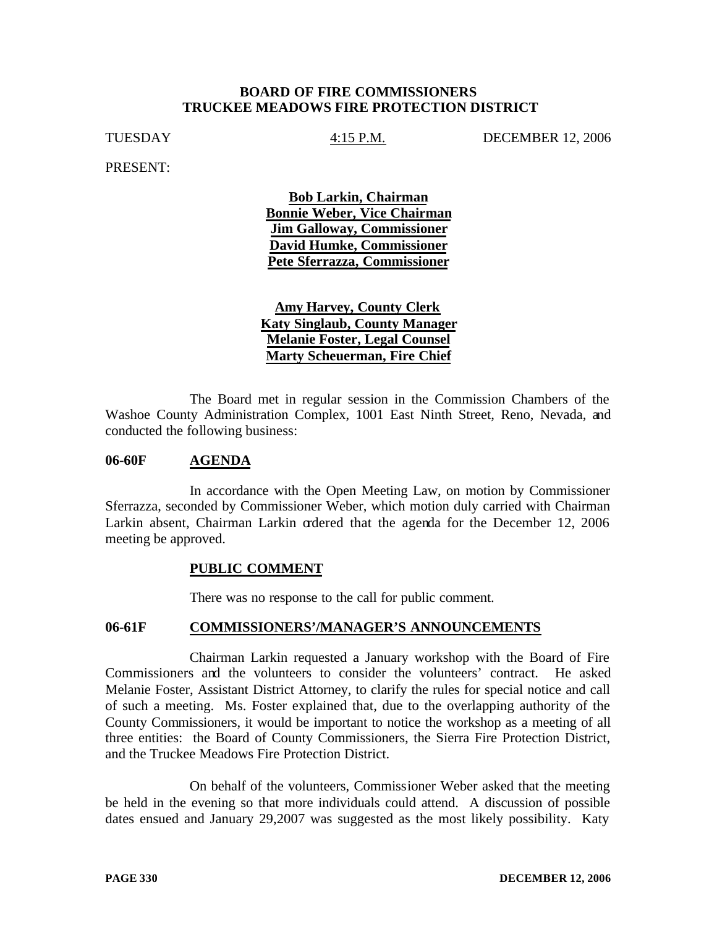#### **BOARD OF FIRE COMMISSIONERS TRUCKEE MEADOWS FIRE PROTECTION DISTRICT**

TUESDAY 4:15 P.M. DECEMBER 12, 2006

PRESENT:

**Bob Larkin, Chairman Bonnie Weber, Vice Chairman Jim Galloway, Commissioner David Humke, Commissioner Pete Sferrazza, Commissioner**

**Amy Harvey, County Clerk Katy Singlaub, County Manager Melanie Foster, Legal Counsel Marty Scheuerman, Fire Chief**

The Board met in regular session in the Commission Chambers of the Washoe County Administration Complex, 1001 East Ninth Street, Reno, Nevada, and conducted the following business:

#### **06-60F AGENDA**

In accordance with the Open Meeting Law, on motion by Commissioner Sferrazza, seconded by Commissioner Weber, which motion duly carried with Chairman Larkin absent, Chairman Larkin ordered that the agenda for the December 12, 2006 meeting be approved.

# **PUBLIC COMMENT**

There was no response to the call for public comment.

# **06-61F COMMISSIONERS'/MANAGER'S ANNOUNCEMENTS**

Chairman Larkin requested a January workshop with the Board of Fire Commissioners and the volunteers to consider the volunteers' contract. He asked Melanie Foster, Assistant District Attorney, to clarify the rules for special notice and call of such a meeting. Ms. Foster explained that, due to the overlapping authority of the County Commissioners, it would be important to notice the workshop as a meeting of all three entities: the Board of County Commissioners, the Sierra Fire Protection District, and the Truckee Meadows Fire Protection District.

On behalf of the volunteers, Commissioner Weber asked that the meeting be held in the evening so that more individuals could attend. A discussion of possible dates ensued and January 29,2007 was suggested as the most likely possibility. Katy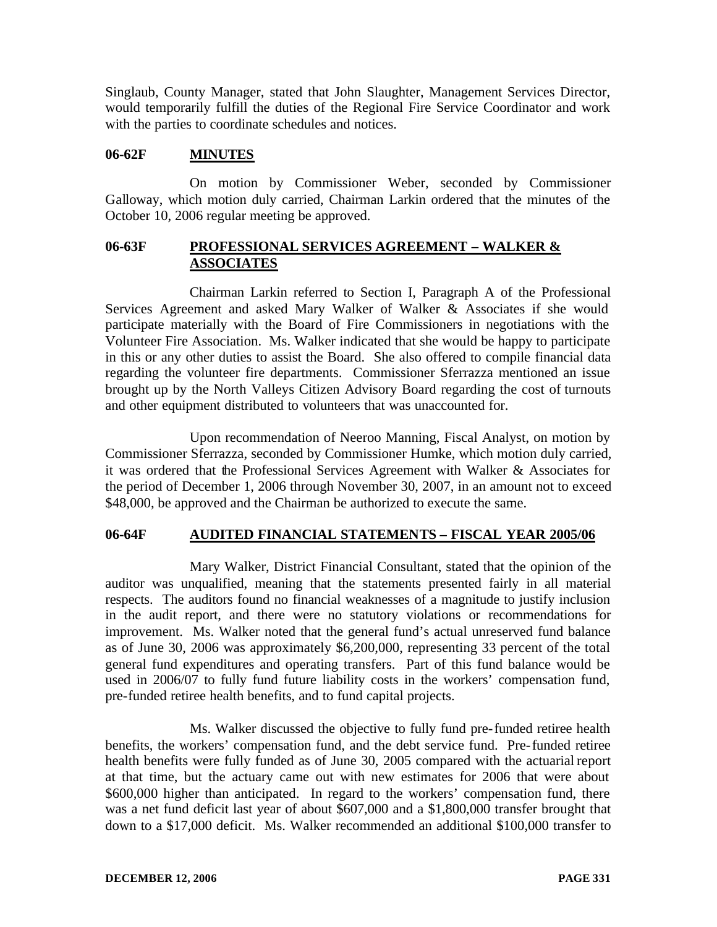Singlaub, County Manager, stated that John Slaughter, Management Services Director, would temporarily fulfill the duties of the Regional Fire Service Coordinator and work with the parties to coordinate schedules and notices.

# **06-62F MINUTES**

On motion by Commissioner Weber, seconded by Commissioner Galloway, which motion duly carried, Chairman Larkin ordered that the minutes of the October 10, 2006 regular meeting be approved.

# **06-63F PROFESSIONAL SERVICES AGREEMENT – WALKER & ASSOCIATES**

Chairman Larkin referred to Section I, Paragraph A of the Professional Services Agreement and asked Mary Walker of Walker & Associates if she would participate materially with the Board of Fire Commissioners in negotiations with the Volunteer Fire Association. Ms. Walker indicated that she would be happy to participate in this or any other duties to assist the Board. She also offered to compile financial data regarding the volunteer fire departments. Commissioner Sferrazza mentioned an issue brought up by the North Valleys Citizen Advisory Board regarding the cost of turnouts and other equipment distributed to volunteers that was unaccounted for.

Upon recommendation of Neeroo Manning, Fiscal Analyst, on motion by Commissioner Sferrazza, seconded by Commissioner Humke, which motion duly carried, it was ordered that the Professional Services Agreement with Walker & Associates for the period of December 1, 2006 through November 30, 2007, in an amount not to exceed \$48,000, be approved and the Chairman be authorized to execute the same.

# **06-64F AUDITED FINANCIAL STATEMENTS – FISCAL YEAR 2005/06**

Mary Walker, District Financial Consultant, stated that the opinion of the auditor was unqualified, meaning that the statements presented fairly in all material respects. The auditors found no financial weaknesses of a magnitude to justify inclusion in the audit report, and there were no statutory violations or recommendations for improvement. Ms. Walker noted that the general fund's actual unreserved fund balance as of June 30, 2006 was approximately \$6,200,000, representing 33 percent of the total general fund expenditures and operating transfers. Part of this fund balance would be used in 2006/07 to fully fund future liability costs in the workers' compensation fund, pre-funded retiree health benefits, and to fund capital projects.

Ms. Walker discussed the objective to fully fund pre-funded retiree health benefits, the workers' compensation fund, and the debt service fund. Pre-funded retiree health benefits were fully funded as of June 30, 2005 compared with the actuarial report at that time, but the actuary came out with new estimates for 2006 that were about \$600,000 higher than anticipated. In regard to the workers' compensation fund, there was a net fund deficit last year of about \$607,000 and a \$1,800,000 transfer brought that down to a \$17,000 deficit. Ms. Walker recommended an additional \$100,000 transfer to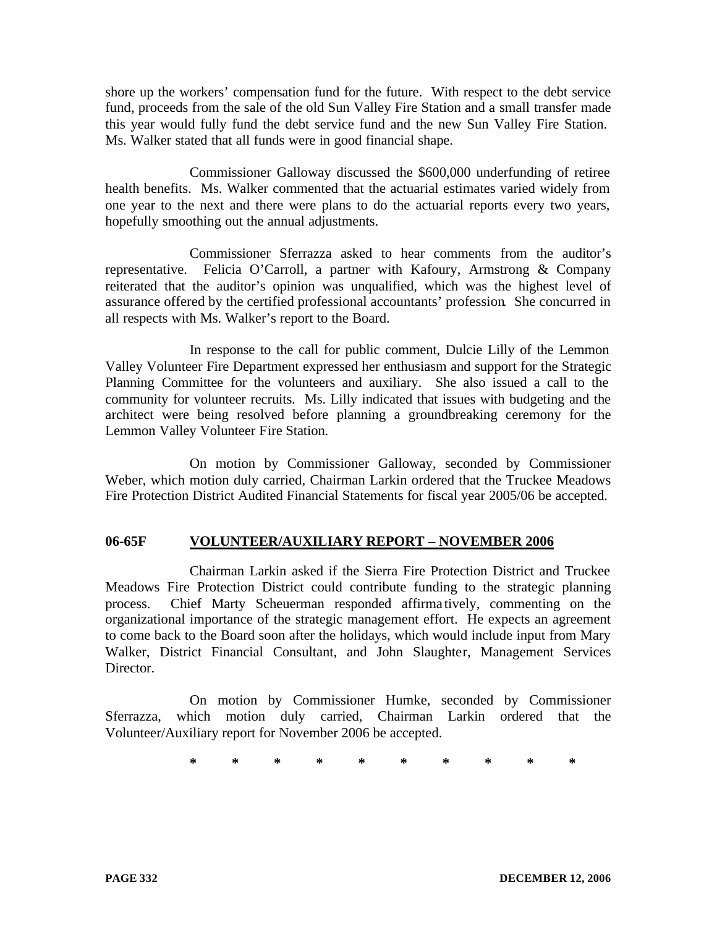shore up the workers' compensation fund for the future. With respect to the debt service fund, proceeds from the sale of the old Sun Valley Fire Station and a small transfer made this year would fully fund the debt service fund and the new Sun Valley Fire Station. Ms. Walker stated that all funds were in good financial shape.

Commissioner Galloway discussed the \$600,000 underfunding of retiree health benefits. Ms. Walker commented that the actuarial estimates varied widely from one year to the next and there were plans to do the actuarial reports every two years, hopefully smoothing out the annual adjustments.

Commissioner Sferrazza asked to hear comments from the auditor's representative. Felicia O'Carroll, a partner with Kafoury, Armstrong & Company reiterated that the auditor's opinion was unqualified, which was the highest level of assurance offered by the certified professional accountants' profession. She concurred in all respects with Ms. Walker's report to the Board.

In response to the call for public comment, Dulcie Lilly of the Lemmon Valley Volunteer Fire Department expressed her enthusiasm and support for the Strategic Planning Committee for the volunteers and auxiliary. She also issued a call to the community for volunteer recruits. Ms. Lilly indicated that issues with budgeting and the architect were being resolved before planning a groundbreaking ceremony for the Lemmon Valley Volunteer Fire Station.

On motion by Commissioner Galloway, seconded by Commissioner Weber, which motion duly carried, Chairman Larkin ordered that the Truckee Meadows Fire Protection District Audited Financial Statements for fiscal year 2005/06 be accepted.

# **06-65F VOLUNTEER/AUXILIARY REPORT – NOVEMBER 2006**

Chairman Larkin asked if the Sierra Fire Protection District and Truckee Meadows Fire Protection District could contribute funding to the strategic planning process. Chief Marty Scheuerman responded affirma tively, commenting on the organizational importance of the strategic management effort. He expects an agreement to come back to the Board soon after the holidays, which would include input from Mary Walker, District Financial Consultant, and John Slaughter, Management Services Director.

On motion by Commissioner Humke, seconded by Commissioner Sferrazza, which motion duly carried, Chairman Larkin ordered that the Volunteer/Auxiliary report for November 2006 be accepted.

**\* \* \* \* \* \* \* \* \* \***